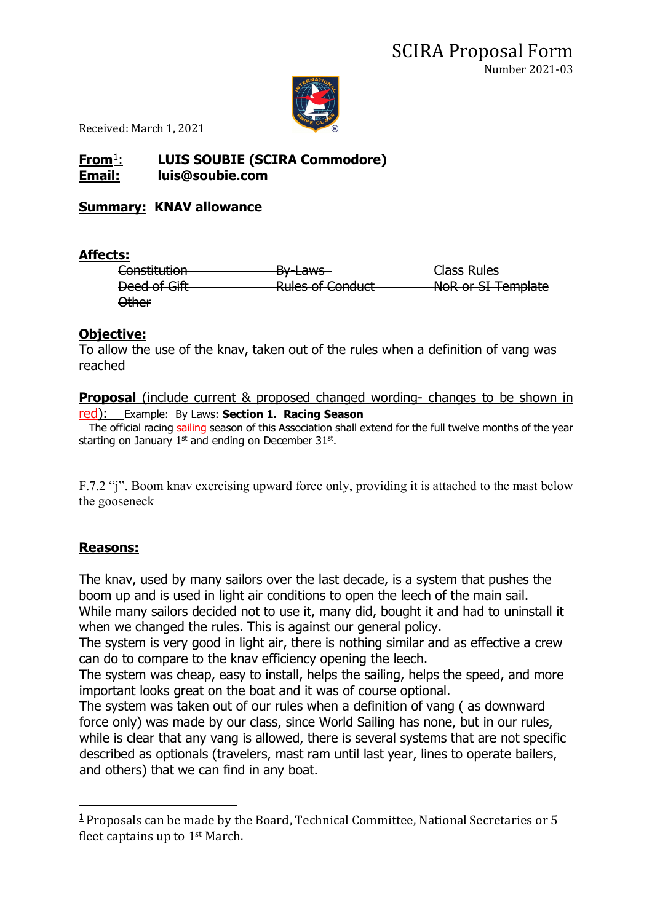

Received: March 1, 2021

# **From**[1](#page-0-0): **LUIS SOUBIE (SCIRA Commodore) Email: luis@soubie.com**

### **Summary: KNAV allowance**

### **Affects:**

Constitution **By-Laws** By-Laws Class Rules Deed of Gift Rules of Conduct NoR or SI Template Other

### **Objective:**

To allow the use of the knav, taken out of the rules when a definition of vang was reached

#### **Proposal** (include current & proposed changed wording- changes to be shown in red): Example: By Laws: **Section 1. Racing Season**

The official racing sailing season of this Association shall extend for the full twelve months of the year starting on January  $1<sup>st</sup>$  and ending on December 31 $<sup>st</sup>$ .</sup>

F.7.2 "j". Boom knav exercising upward force only, providing it is attached to the mast below the gooseneck

# **Reasons:**

The knav, used by many sailors over the last decade, is a system that pushes the boom up and is used in light air conditions to open the leech of the main sail. While many sailors decided not to use it, many did, bought it and had to uninstall it when we changed the rules. This is against our general policy.

The system is very good in light air, there is nothing similar and as effective a crew can do to compare to the knav efficiency opening the leech.

The system was cheap, easy to install, helps the sailing, helps the speed, and more important looks great on the boat and it was of course optional.

The system was taken out of our rules when a definition of vang ( as downward force only) was made by our class, since World Sailing has none, but in our rules, while is clear that any vang is allowed, there is several systems that are not specific described as optionals (travelers, mast ram until last year, lines to operate bailers, and others) that we can find in any boat.

<span id="page-0-0"></span> $1$  Proposals can be made by the Board, Technical Committee, National Secretaries or 5 fleet captains up to 1st March.